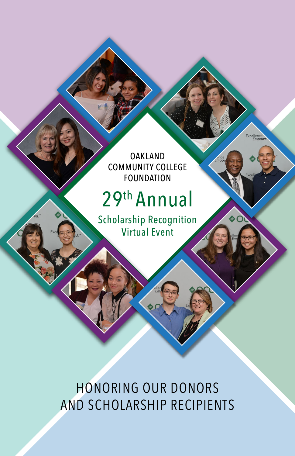OAKLAND COMMUNITY COLLEGE FOUNDATION

# 29th Annual

Scholarship Recognition Virtual Event

HONORING OUR DONORS AND SCHOLARSHIP RECIPIENTS Excellence<br>Empowe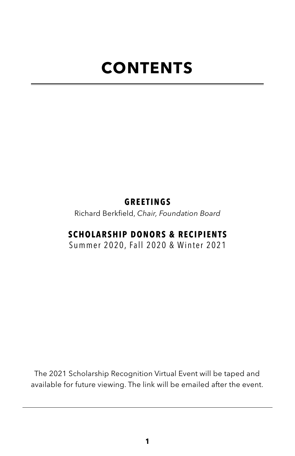# **CONTENTS**

# **GREETINGS**

Richard Berkfield, *Chair, Foundation Board*

# **SCHOLARSHIP DONORS & RECIPIENTS**

Summer 2020, Fall 2020 & Winter 2021

The 2021 Scholarship Recognition Virtual Event will be taped and available for future viewing. The link will be emailed after the event.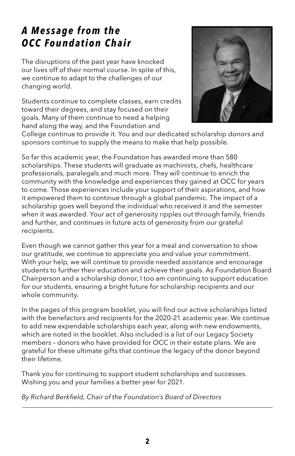# *A Message from the OCC Foundation Chair*

The disruptions of the past year have knocked our lives off of their normal course. In spite of this, we continue to adapt to the challenges of our changing world.

Students continue to complete classes, earn credits toward their degrees, and stay focused on their goals. Many of them continue to need a helping hand along the way, and the Foundation and



College continue to provide it. You and our dedicated scholarship donors and sponsors continue to supply the means to make that help possible.

So far this academic year, the Foundation has awarded more than 580 scholarships. These students will graduate as machinists, chefs, healthcare professionals, paralegals and much more. They will continue to enrich the community with the knowledge and experiences they gained at OCC for years to come. Those experiences include your support of their aspirations, and how it empowered them to continue through a global pandemic. The impact of a scholarship goes well beyond the individual who received it and the semester when it was awarded. Your act of generosity ripples out through family, friends and further, and continues in future acts of generosity from our grateful recipients.

Even though we cannot gather this year for a meal and conversation to show our gratitude, we continue to appreciate you and value your commitment. With your help, we will continue to provide needed assistance and encourage students to further their education and achieve their goals. As Foundation Board Chairperson and a scholarship donor, I too am continuing to support education for our students, ensuring a bright future for scholarship recipients and our whole community.

In the pages of this program booklet, you will find our active scholarships listed with the benefactors and recipients for the 2020-21 academic year. We continue to add new expendable scholarships each year, along with new endowments, which are noted in the booklet. Also included is a list of our Legacy Society members – donors who have provided for OCC in their estate plans. We are grateful for these ultimate gifts that continue the legacy of the donor beyond their lifetime.

Thank you for continuing to support student scholarships and successes. Wishing you and your families a better year for 2021.

*By Richard Berkfield, Chair of the Foundation's Board of Directors*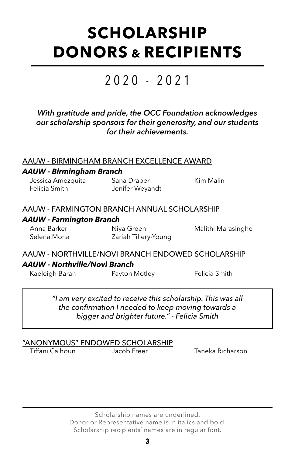# **SCHOLARSHIP DONORS & RECIPIENTS**

# 2020 - 2021

*With gratitude and pride, the OCC Foundation acknowledges our scholarship sponsors for their generosity, and our students for their achievements.*

#### AAUW - BIRMINGHAM BRANCH EXCELLENCE AWARD

#### *AAUW - Birmingham Branch*

Jessica Amezquita Sana Draper Kim Malin Felicia Smith Jenifer Weyandt

#### AAUW - FARMINGTON BRANCH ANNUAL SCHOLARSHIP

#### *AAUW - Farmington Branch*

Anna Barker **Niya Green** Malithi Marasinghe Selena Mona Zariah Tillery-Young

#### AAUW - NORTHVILLE/NOVI BRANCH ENDOWED SCHOLARSHIP

#### *AAUW - Northville/Novi Branch*

Kaeleigh Baran **Payton Motley** Felicia Smith

*"I am very excited to receive this scholarship. This was all the confirmation I needed to keep moving towards a bigger and brighter future." - Felicia Smith*

#### "ANONYMOUS" ENDOWED SCHOLARSHIP

Tiffani Calhoun Jacob Freer Taneka Richarson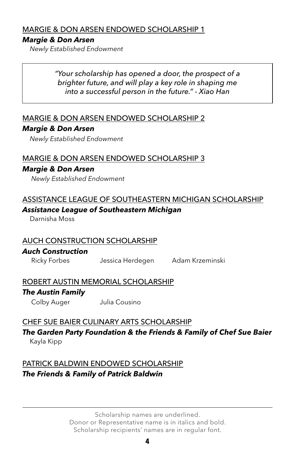#### MARGIE & DON ARSEN ENDOWED SCHOLARSHIP 1

#### *Margie & Don Arsen*

*Newly Established Endowment* 

*"Your scholarship has opened a door, the prospect of a brighter future, and will play a key role in shaping me into a successful person in the future." - Xiao Han*

#### MARGIE & DON ARSEN ENDOWED SCHOLARSHIP 2

#### *Margie & Don Arsen*

*Newly Established Endowment*

#### MARGIE & DON ARSEN ENDOWED SCHOLARSHIP 3

#### *Margie & Don Arsen*

*Newly Established Endowment*

#### ASSISTANCE LEAGUE OF SOUTHEASTERN MICHIGAN SCHOLARSHIP *Assistance League of Southeastern Michigan*

Darnisha Moss

#### AUCH CONSTRUCTION SCHOLARSHIP

#### *Auch Construction*

Ricky Forbes Jessica Herdegen Adam Krzeminski

# ROBERT AUSTIN MEMORIAL SCHOLARSHIP *The Austin Family*

Colby Auger Julia Cousino

#### CHEF SUE BAIER CULINARY ARTS SCHOLARSHIP

*The Garden Party Foundation & the Friends & Family of Chef Sue Baier* Kayla Kipp

# PATRICK BALDWIN ENDOWED SCHOLARSHIP *The Friends & Family of Patrick Baldwin*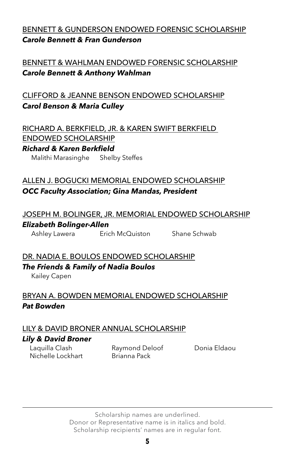# BENNETT & GUNDERSON ENDOWED FORENSIC SCHOLARSHIP *Carole Bennett & Fran Gunderson*

# BENNETT & WAHLMAN ENDOWED FORENSIC SCHOLARSHIP *Carole Bennett & Anthony Wahlman*

# CLIFFORD & JEANNE BENSON ENDOWED SCHOLARSHIP *Carol Benson & Maria Culley*

RICHARD A. BERKFIELD, JR. & KAREN SWIFT BERKFIELD ENDOWED SCHOLARSHIP

#### *Richard & Karen Berkfield*

Malithi Marasinghe Shelby Steffes

# ALLEN J. BOGUCKI MEMORIAL ENDOWED SCHOLARSHIP *OCC Faculty Association; Gina Mandas, President*

# JOSEPH M. BOLINGER, JR. MEMORIAL ENDOWED SCHOLARSHIP *Elizabeth Bolinger-Allen*

Ashley Lawera Erich McQuiston Shane Schwab

# DR. NADIA E. BOULOS ENDOWED SCHOLARSHIP *The Friends & Family of Nadia Boulos*

Kailey Capen

# BRYAN A. BOWDEN MEMORIAL ENDOWED SCHOLARSHIP *Pat Bowden*

# LILY & DAVID BRONER ANNUAL SCHOLARSHIP *Lily & David Broner*

Laquilla Clash Raymond Deloof Donia Eldaou Nichelle Lockhart Brianna Pack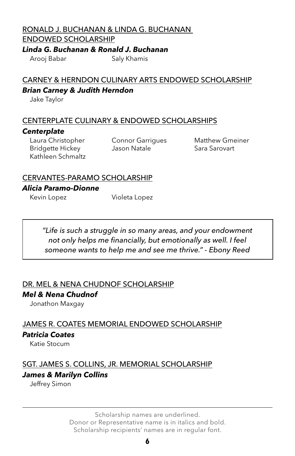# RONALD J. BUCHANAN & LINDA G. BUCHANAN

#### ENDOWED SCHOLARSHIP

*Linda G. Buchanan & Ronald J. Buchanan*

Arooj Babar Saly Khamis

# CARNEY & HERNDON CULINARY ARTS ENDOWED SCHOLARSHIP *Brian Carney & Judith Herndon*

Jake Taylor

#### CENTERPLATE CULINARY & ENDOWED SCHOLARSHIPS

#### *Centerplate*

Laura Christopher Connor Garrigues Matthew Gmeiner Bridgette Hickey **Jason Natale** Sara Sarovart Kathleen Schmaltz

#### CERVANTES-PARAMO SCHOLARSHIP

#### *Alicia Paramo-Dionne*

Kevin Lopez **Violeta** Lopez

*"Life is such a struggle in so many areas, and your endowment not only helps me financially, but emotionally as well. I feel someone wants to help me and see me thrive." - Ebony Reed*

#### DR. MEL & NENA CHUDNOF SCHOLARSHIP

#### *Mel & Nena Chudnof*

Jonathon Maxgay

JAMES R. COATES MEMORIAL ENDOWED SCHOLARSHIP *Patricia Coates*

Katie Stocum

# SGT. JAMES S. COLLINS, JR. MEMORIAL SCHOLARSHIP *James & Marilyn Collins*

Jeffrey Simon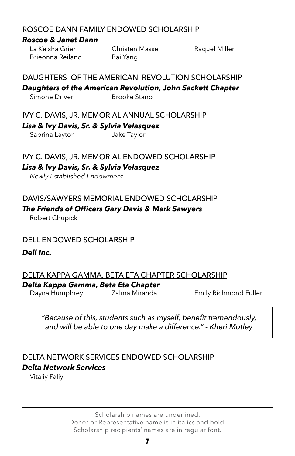#### ROSCOE DANN FAMILY ENDOWED SCHOLARSHIP

#### *Roscoe & Janet Dann*

Brieonna Reiland Bai Yang

La Keisha Grier **Christen Masse** Raquel Miller

#### DAUGHTERS OF THE AMERICAN REVOLUTION SCHOLARSHIP

*Daughters of the American Revolution, John Sackett Chapter*

Simone Driver Brooke Stano

IVY C. DAVIS, JR. MEMORIAL ANNUAL SCHOLARSHIP

*Lisa & Ivy Davis, Sr. & Sylvia Velasquez*

Sabrina Layton Jake Taylor

#### IVY C. DAVIS, JR. MEMORIAL ENDOWED SCHOLARSHIP

#### *Lisa & Ivy Davis, Sr. & Sylvia Velasquez*

*Newly Established Endowment*

#### DAVIS/SAWYERS MEMORIAL ENDOWED SCHOLARSHIP

# *The Friends of Officers Gary Davis & Mark Sawyers*

Robert Chupick

# DELL ENDOWED SCHOLARSHIP

#### *Dell Inc.*

# DELTA KAPPA GAMMA, BETA ETA CHAPTER SCHOLARSHIP

*Delta Kappa Gamma, Beta Eta Chapter*

Dayna Humphrey Zalma Miranda Emily Richmond Fuller

#### *"Because of this, students such as myself, benefit tremendously, and will be able to one day make a difference." - Kheri Motley*

#### DELTA NETWORK SERVICES ENDOWED SCHOLARSHIP

#### *Delta Network Services*

Vitaliy Paliy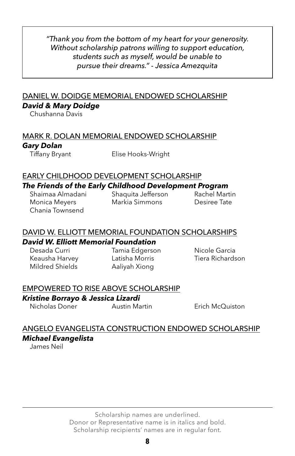*"Thank you from the bottom of my heart for your generosity. Without scholarship patrons willing to support education, students such as myself, would be unable to pursue their dreams." - Jessica Amezquita*

#### DANIEL W. DOIDGE MEMORIAL ENDOWED SCHOLARSHIP *David & Mary Doidge*

Chushanna Davis

### MARK R. DOLAN MEMORIAL ENDOWED SCHOLARSHIP *Gary Dolan*

Tiffany Bryant Elise Hooks-Wright

#### EARLY CHILDHOOD DEVELOPMENT SCHOLARSHIP *The Friends of the Early Childhood Development Program* Shaimaa Almadani Shaquita Jefferson Rachel Martin

Monica Meyers Markia Simmons Desiree Tate Chania Townsend

#### DAVID W. ELLIOTT MEMORIAL FOUNDATION SCHOLARSHIPS *David W. Elliott Memorial Foundation*

Desada Curri Tamia Edgerson Nicole Garcia Mildred Shields Aaliyah Xiong

Keausha Harvey **Latisha Morris** Tiera Richardson

#### EMPOWERED TO RISE ABOVE SCHOLARSHIP

#### *Kristine Borrayo & Jessica Lizardi*

Nicholas Doner Austin Martin Erich McQuiston

# ANGELO EVANGELISTA CONSTRUCTION ENDOWED SCHOLARSHIP *Michael Evangelista*

James Neil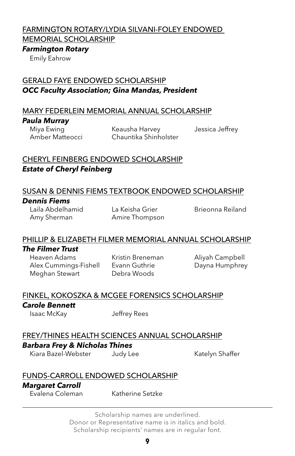#### FARMINGTON ROTARY/LYDIA SILVANI-FOLEY ENDOWED

MEMORIAL SCHOLARSHIP

#### *Farmington Rotary*

Emily Eahrow

### GERALD FAYE ENDOWED SCHOLARSHIP *OCC Faculty Association; Gina Mandas, President*

#### MARY FEDERLEIN MEMORIAL ANNUAL SCHOLARSHIP

#### *Paula Murray*

Miya Ewing **Keausha Harvey** Jessica Jeffrey Amber Matteocci Chauntika Shinholster

## CHERYL FEINBERG ENDOWED SCHOLARSHIP *Estate of Cheryl Feinberg*

#### SUSAN & DENNIS FIEMS TEXTBOOK ENDOWED SCHOLARSHIP

#### *Dennis Fiems*

Laila Abdelhamid La Keisha Grier Brieonna Reiland Amy Sherman Amire Thompson

# PHILLIP & ELIZABETH FILMER MEMORIAL ANNUAL SCHOLARSHIP

#### *The Filmer Trust*

Heaven Adams Kristin Breneman Aliyah Campbell Alex Cummings-Fishell Evann Guthrie **Dayna Humphrey** Meghan Stewart Debra Woods

#### FINKEL, KOKOSZKA & MCGEE FORENSICS SCHOLARSHIP

#### *Carole Bennett*

Isaac McKay Jeffrey Rees

# FREY/THINES HEALTH SCIENCES ANNUAL SCHOLARSHIP

#### *Barbara Frey & Nicholas Thines*

Kiara Bazel-Webster Judy Lee Katelyn Shaffer

#### FUNDS-CARROLL ENDOWED SCHOLARSHIP

#### *Margaret Carroll*

Evalena Coleman Katherine Setzke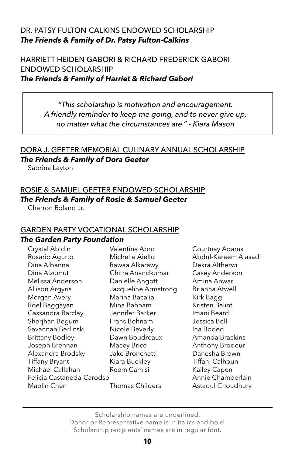#### DR. PATSY FULTON-CALKINS ENDOWED SCHOLARSHIP *The Friends & Family of Dr. Patsy Fulton-Calkins*

#### HARRIETT HEIDEN GABORI & RICHARD FREDERICK GABORI ENDOWED SCHOLARSHIP *The Friends & Family of Harriet & Richard Gabori*

*"This scholarship is motivation and encouragement. A friendly reminder to keep me going, and to never give up, no matter what the circumstances are." - Kiara Mason*

# DORA J. GEETER MEMORIAL CULINARY ANNUAL SCHOLARSHIP

#### *The Friends & Family of Dora Geeter*

Sabrina Layton

#### ROSIE & SAMUEL GEETER ENDOWED SCHOLARSHIP

#### *The Friends & Family of Rosie & Samuel Geeter*

Charron Roland Jr.

#### GARDEN PARTY VOCATIONAL SCHOLARSHIP

#### *The Garden Party Foundation*

| Crystal Abidin            | Valentina Abro       | Courtnay Adams       |
|---------------------------|----------------------|----------------------|
| Rosario Agurto            | Michelle Aiello      | Abdul-Kareem Alasadi |
| Dina Albanna              | Rawaa Alkarawy       | Dekra Altherwi       |
| Dina Alzumut              | Chitra Anandkumar    | Casey Anderson       |
| Melissa Anderson          | Danielle Angott      | Amina Anwar          |
| Allison Argyris           | Jacqueline Armstrong | Brianna Atwell       |
| Morgan Avery              | Marina Bacalia       | Kirk Bagg            |
| Roel Baggayan             | Mina Bahnam          | Kristen Balint       |
| Cassandra Barclay         | Jennifer Barker      | Imani Beard          |
| Sherjhan Begum            | Frans Behnam         | Jessica Bell         |
| Savannah Berlinski        | Nicole Beverly       | Ina Bodeci           |
| <b>Brittany Bodley</b>    | Dawn Boudreaux       | Amanda Brackins      |
| Joseph Brennan            | Macey Brice          | Anthony Brodeur      |
| Alexandra Brodsky         | Jake Bronchetti      | Danesha Brown        |
| <b>Tiffany Bryant</b>     | Kiara Buckley        | Tiffani Calhoun      |
| Michael Callahan          | Reem Camisi          | Kailey Capen         |
| Felicia Castaneda-Carodso |                      | Annie Chamberlain    |
| Maolin Chen               | Thomas Childers      | Astaqul Choudhury    |
|                           |                      |                      |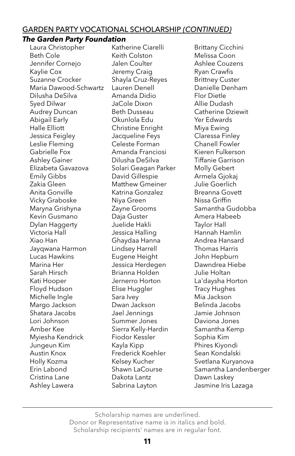#### GARDEN PARTY VOCATIONAL SCHOLARSHIP *(CONTINUED)*

#### *The Garden Party Foundation*

Beth Cole **Keith Colston** Melissa Coon Jennifer Cornejo Jalen Coulter **Ashlee Couzens** Kaylie Cox **State State State State State State State State State State State State State State State State State State State State State State State State State State State State State State State State State State State** Suzanne Crocker Shayla Cruz-Reyes Brittney Custer Maria Dawood-Schwartz Lauren Denell **Danielle Denham** Dilusha DeSilva Amanda Didio Flor Dietle Syed Dilwar JaCole Dixon Allie Dudash Audrey Duncan Beth Dusseau Catherine Dziewit Abigail Early Okunlola Edu Yer Edwards Halle Elliott **Christine Enright** Miya Ewing Jessica Feigley Jacqueline Feys Claressa Finley Leslie Fleming Celeste Forman Chanell Fowler Gabrielle Fox Amanda Franciosi Kieren Fulkerson Ashley Gainer Dilusha DeSilva Tiffanie Garrison Elizabeta Gavazova Solari Geagan Parker Molly Gebert Emily Gibbs David Gillespie Armela Gjokaj Zakia Gleen Matthew Gmeiner Julie Goerlich Anita Gonville Katrina Gonzalez Breanna Govett Vicky Graboske Niya Green Nissa Griffin Maryna Grishyna Zayne Grooms Samantha Gudobba Kevin Gusmano **Daja Guster Amera Habeeb** Dylan Haggerty Juelide Hakli Taylor Hall Victoria Hall **Interpretent Cleanual** Jessica Halling **Hannah Hamlin** Xiao Han Ghaydaa Hanna Andrea Hansard Jayqwana Harmon Lindsey Harrell Thomas Harris Lucas Hawkins Eugene Height John Hepburn Marina Her Jessica Herdegen Dawndrea Hiebe Sarah Hirsch Brianna Holden Julie Holtan Kati Hooper **Jernerro Horton** La'daysha Horton Floyd Hudson Elise Huggler Tracy Hughes Michelle Ingle Sara Ivey **Michelle Ingle** Sara Ivey Margo Jackson Dwan Jackson Belinda Jacobs Shatara Jacobs Jael Jennings Jamie Johnson Lori Johnson Summer Jones Daviona Jones Amber Kee Sierra Kelly-Hardin Samantha Kemp Myiesha Kendrick Fiodor Kessler Sophia Kim Jungeun Kim Kayla Kipp Phires Kiyondi Austin Knox Frederick Koehler Sean Kondalski Holly Kozma **Kelsey Kucher** Svetlana Kuryanova Cristina Lane Dakota Lantz Dawn Laskey Ashley Lawera **Sabrina Layton** Jasmine Iris Lazaga

Laura Christopher Katherine Ciarelli Brittany Cicchini

Erin Labond Shawn LaCourse Samantha Landenberger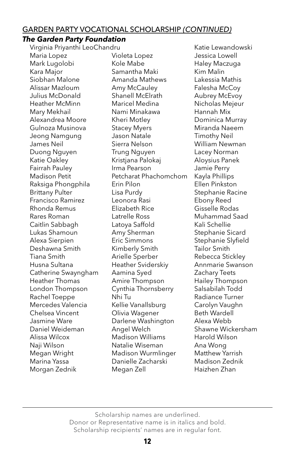#### GARDEN PARTY VOCATIONAL SCHOLARSHIP *(CONTINUED)*

#### *The Garden Party Foundation*

Virginia Priyanthi LeoChandru Katie Lewandowski Maria Lopez Violeta Lopez Jessica Lowell Mark Lugolobi Kole Mabe Haley Maczuga Kara Major **Samantha Maki** Kim Malin Siobhan Malone Amanda Mathews Lakessia Mathis Alissar Mazloum Amy McCauley Falesha McCoy Julius McDonald Shanell McElrath Aubrey McEvoy Heather McMinn Maricel Medina Nicholas Mejeur Mary Mekhail  $\blacksquare$  Nami Minakawa  $\blacksquare$  Hannah Mix Alexandrea Moore Kheri Motley Dominica Murray Gulnoza Musinova Stacey Myers Miranda Naeem Jeong Namgung Jason Natale Timothy Neil James Neil Sierra Nelson William Newman Duong Nguyen Trung Nguyen Lacey Norman Katie Oakley Kristjana Palokaj Aloysius Panek Fairrah Pauley **Irma Pearson** Jamie Perry Madison Petit Petcharat Phachomchom Kayla Phillips Raksiga Phongphila Erin Pilon Ellen Pinkston Brittany Pulter **Lisa Purdy** Stephanie Racine Francisco Ramirez Leonora Rasi Ebony Reed Rhonda Remus Elizabeth Rice Gisselle Rodas Rares Roman Latrelle Ross Muhammad Saad Caitlin Sabbagh Latova Saffold Kali Schellie Lukas Shamoun **Amy Sherman** Stephanie Sicard Alexa Sierpien Fric Simmons Stephanie Slyfield Deshawna Smith Kimberly Smith Tailor Smith Tiana Smith **Arielle Sperber** Rebecca Stickley Husna Sultana Heather Sviderskiy Annmarie Swanson Catherine Swayngham Aamina Syed Zachary Teets Heather Thomas Amire Thompson Hailey Thompson London Thompson Cynthia Thornsberry Salsabilah Todd Rachel Toeppe Mhi Tu Radiance Turner Mercedes Valencia Kellie Vanallsburg Carolyn Vaughn Chelsea Vincent **Olivia Wagener** Beth Wardell Jasmine Ware Darlene Washington Alexa Webb Daniel Weideman Angel Welch Shawne Wickersham Alissa Wilcox Madison Williams Harold Wilson Naji Wilson Natalie Wiseman Ana Wong Megan Wright Madison Wurmlinger Matthew Yarrish Marina Yassa Danielle Zacharski Madison Zednik Morgan Zednik Megan Zell Maizhen Zhan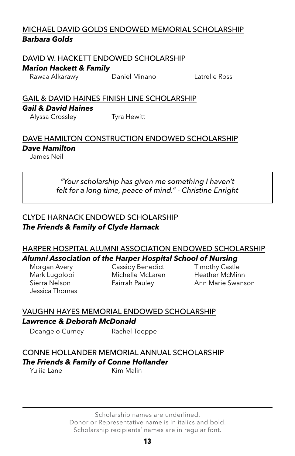#### MICHAEL DAVID GOLDS ENDOWED MEMORIAL SCHOLARSHIP *Barbara Golds*

#### DAVID W. HACKETT ENDOWED SCHOLARSHIP

#### *Marion Hackett & Family*

Rawaa Alkarawy Daniel Minano Latrelle Ross

# GAIL & DAVID HAINES FINISH LINE SCHOLARSHIP *Gail & David Haines*

Alyssa Crossley Tyra Hewitt

# DAVE HAMILTON CONSTRUCTION ENDOWED SCHOLARSHIP *Dave Hamilton*

James Neil

*"Your scholarship has given me something I haven't felt for a long time, peace of mind." - Christine Enright*

#### CLYDE HARNACK ENDOWED SCHOLARSHIP *The Friends & Family of Clyde Harnack*

#### HARPER HOSPITAL ALUMNI ASSOCIATION ENDOWED SCHOLARSHIP *Alumni Association of the Harper Hospital School of Nursing*

Jessica Thomas

Morgan Avery **Cassidy Benedict** Timothy Castle Mark Lugolobi Michelle McLaren Heather McMinn

Fairrah Pauley **Ann Marie Swanson** 

# VAUGHN HAYES MEMORIAL ENDOWED SCHOLARSHIP

#### *Lawrence & Deborah McDonald*

Deangelo Curney Rachel Toeppe

## CONNE HOLLANDER MEMORIAL ANNUAL SCHOLARSHIP *The Friends & Family of Conne Hollander*

Yuliia Lane Kim Malin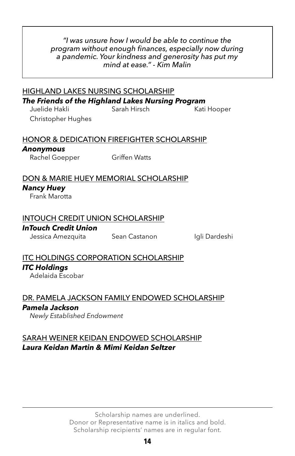#### *"I was unsure how I would be able to continue the program without enough finances, especially now during a pandemic. Your kindness and generosity has put my mind at ease." - Kim Malin*

# HIGHLAND LAKES NURSING SCHOLARSHIP *The Friends of the Highland Lakes Nursing Program*

Juelide Hakli Sarah Hirsch Kati Hooper Christopher Hughes

#### HONOR & DEDICATION FIREFIGHTER SCHOLARSHIP

## *Anonymous*

Rachel Goepper Griffen Watts

#### DON & MARIE HUEY MEMORIAL SCHOLARSHIP

#### *Nancy Huey*

Frank Marotta

## INTOUCH CREDIT UNION SCHOLARSHIP

#### *InTouch Credit Union*

Jessica Amezquita Sean Castanon Igli Dardeshi

# ITC HOLDINGS CORPORATION SCHOLARSHIP *ITC Holdings*

Adelaida Escobar

DR. PAMELA JACKSON FAMILY ENDOWED SCHOLARSHIP *Pamela Jackson*

*Newly Established Endowment*

## SARAH WEINER KEIDAN ENDOWED SCHOLARSHIP *Laura Keidan Martin & Mimi Keidan Seltzer*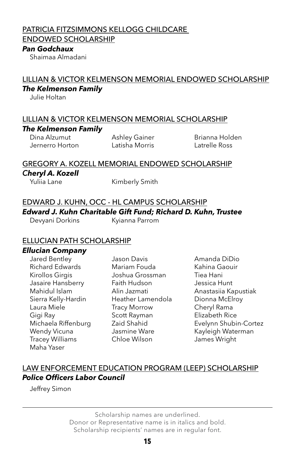#### PATRICIA FITZSIMMONS KELLOGG CHILDCARE

ENDOWED SCHOLARSHIP

#### *Pan Godchaux*

Shaimaa Almadani

#### LILLIAN & VICTOR KELMENSON MEMORIAL ENDOWED SCHOLARSHIP *The Kelmenson Family*

Julie Holtan

#### LILLIAN & VICTOR KELMENSON MEMORIAL SCHOLARSHIP *The Kelmenson Family*

Dina Alzumut **Ashley Gainer** Brianna Holden Jernerro Horton Latisha Morris Latrelle Ross

#### GREGORY A. KOZELL MEMORIAL ENDOWED SCHOLARSHIP

#### *Cheryl A. Kozell*

Yuliia Lane Kimberly Smith

# EDWARD J. KUHN, OCC - HL CAMPUS SCHOLARSHIP *Edward J. Kuhn Charitable Gift Fund; Richard D. Kuhn, Trustee*

Devyani Dorkins Kyianna Parrom

# ELLUCIAN PATH SCHOLARSHIP

#### *Ellucian Company*

Richard Edwards Mariam Fouda Kahina Gaouir Kirollos Girgis **Manuel Strategier Joshua Grossman** Tiea Hani Jasaire Hansberry Faith Hudson Jessica Hunt Sierra Kelly-Hardin Heather Lamendola Dionna McElroy Laura Miele Tracy Morrow Cheryl Rama Gigi Ray **Scott Rayman** Elizabeth Rice Wendy Vicuna **Jasmine Ware** Kayleigh Waterman Tracey Williams Chloe Wilson James Wright Maha Yaser

Jared Bentley Jason Davis Amanda DiDio

Mahidul Islam Alin Jazmati Anastasiia Kapustiak Michaela Riffenburg Zaid Shahid Evelynn Shubin-Cortez

# LAW ENFORCEMENT EDUCATION PROGRAM (LEEP) SCHOLARSHIP *Police Officers Labor Council*

Jeffrey Simon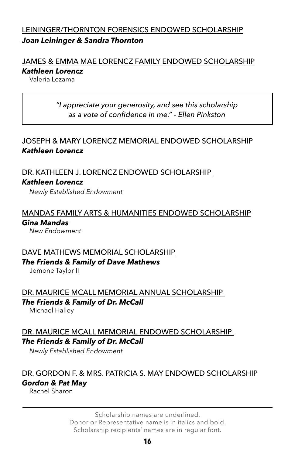#### LEININGER/THORNTON FORENSICS ENDOWED SCHOLARSHIP *Joan Leininger & Sandra Thornton*

# JAMES & EMMA MAE LORENCZ FAMILY ENDOWED SCHOLARSHIP *Kathleen Lorencz*

Valeria Lezama

## *"I appreciate your generosity, and see this scholarship as a vote of confidence in me." - Ellen Pinkston*

## JOSEPH & MARY LORENCZ MEMORIAL ENDOWED SCHOLARSHIP *Kathleen Lorencz*

#### DR. KATHLEEN J. LORENCZ ENDOWED SCHOLARSHIP *Kathleen Lorencz*

*Newly Established Endowment*

# MANDAS FAMILY ARTS & HUMANITIES ENDOWED SCHOLARSHIP *Gina Mandas*

*New Endowment*

#### DAVE MATHEWS MEMORIAL SCHOLARSHIP *The Friends & Family of Dave Mathews*

Jemone Taylor II

# DR. MAURICE MCALL MEMORIAL ANNUAL SCHOLARSHIP *The Friends & Family of Dr. McCall*

Michael Halley

# DR. MAURICE MCALL MEMORIAL ENDOWED SCHOLARSHIP *The Friends & Family of Dr. McCall*

*Newly Established Endowment*

#### DR. GORDON F. & MRS. PATRICIA S. MAY ENDOWED SCHOLARSHIP *Gordon & Pat May*

Rachel Sharon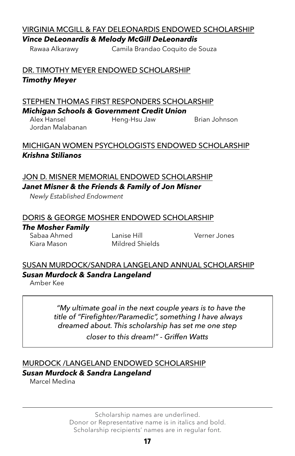### VIRGINIA MCGILL & FAY DELEONARDIS ENDOWED SCHOLARSHIP *Vince DeLeonardis & Melody McGill DeLeonardis*

Rawaa Alkarawy Camila Brandao Coquito de Souza

DR. TIMOTHY MEYER ENDOWED SCHOLARSHIP *Timothy Meyer*

### STEPHEN THOMAS FIRST RESPONDERS SCHOLARSHIP *Michigan Schools & Government Credit Union*

Alex Hansel **Heng-Hsu Jaw** Brian Johnson Jordan Malabanan

# MICHIGAN WOMEN PSYCHOLOGISTS ENDOWED SCHOLARSHIP *Krishna Stilianos*

### JON D. MISNER MEMORIAL ENDOWED SCHOLARSHIP *Janet Misner & the Friends & Family of Jon Misner*

*Newly Established Endowment*

# DORIS & GEORGE MOSHER ENDOWED SCHOLARSHIP

#### *The Mosher Family*

Sabaa Ahmed Lanise Hill Verner Jones Kiara Mason Mildred Shields

#### SUSAN MURDOCK/SANDRA LANGELAND ANNUAL SCHOLARSHIP *Susan Murdock & Sandra Langeland*

Amber Kee

*"My ultimate goal in the next couple years is to have the title of "Firefighter/Paramedic", something I have always dreamed about. This scholarship has set me one step* 

*closer to this dream!" - Griffen Watts*

# MURDOCK /LANGELAND ENDOWED SCHOLARSHIP

#### *Susan Murdock & Sandra Langeland*

Marcel Medina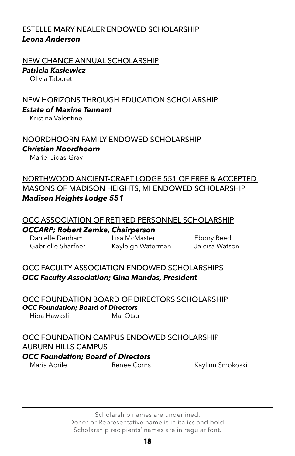#### ESTELLE MARY NEALER ENDOWED SCHOLARSHIP *Leona Anderson*

#### NEW CHANCE ANNUAL SCHOLARSHIP

#### *Patricia Kasiewicz*

Olivia Taburet

#### NEW HORIZONS THROUGH EDUCATION SCHOLARSHIP *Estate of Maxine Tennant*

Kristina Valentine

#### NOORDHOORN FAMILY ENDOWED SCHOLARSHIP *Christian Noordhoorn*

Mariel Jidas-Gray

### NORTHWOOD ANCIENT-CRAFT LODGE 551 OF FREE & ACCEPTED MASONS OF MADISON HEIGHTS, MI ENDOWED SCHOLARSHIP *Madison Heights Lodge 551*

#### OCC ASSOCIATION OF RETIRED PERSONNEL SCHOLARSHIP

#### *OCCARP; Robert Zemke, Chairperson*

Danielle Denham Lisa McMaster Ebony Reed Gabrielle Sharfner Kayleigh Waterman Jaleisa Watson

#### OCC FACULTY ASSOCIATION ENDOWED SCHOLARSHIPS *OCC Faculty Association; Gina Mandas, President*

OCC FOUNDATION BOARD OF DIRECTORS SCHOLARSHIP *OCC Foundation; Board of Directors* Hiba Hawasli Mai Otsu

#### OCC FOUNDATION CAMPUS ENDOWED SCHOLARSHIP

#### AUBURN HILLS CAMPUS

#### *OCC Foundation; Board of Directors*

Maria Aprile **Renee Corns** Kaylinn Smokoski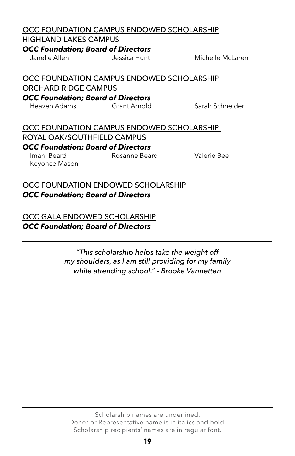# OCC FOUNDATION CAMPUS ENDOWED SCHOLARSHIP

HIGHLAND LAKES CAMPUS

*OCC Foundation; Board of Directors*

Janelle Allen Jessica Hunt Michelle McLaren

OCC FOUNDATION CAMPUS ENDOWED SCHOLARSHIP ORCHARD RIDGE CAMPUS *OCC Foundation; Board of Directors*

Heaven Adams Grant Arnold Sarah Schneider

#### OCC FOUNDATION CAMPUS ENDOWED SCHOLARSHIP ROYAL OAK/SOUTHFIELD CAMPUS *OCC Foundation; Board of Directors* Imani Beard Rosanne Beard Valerie Bee

Keyonce Mason

## OCC FOUNDATION ENDOWED SCHOLARSHIP *OCC Foundation; Board of Directors*

OCC GALA ENDOWED SCHOLARSHIP *OCC Foundation; Board of Directors*

> *"This scholarship helps take the weight off my shoulders, as I am still providing for my family while attending school." - Brooke Vannetten*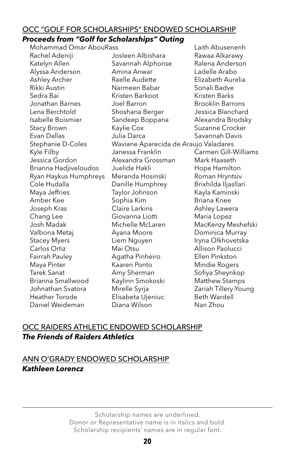#### OCC "GOLF FOR SCHOLARSHIPS" ENDOWED SCHOLARSHIP

#### *Proceeds from "Golf for Scholarships" Outing*

Mohammad Omar AbouRass Laith Abusenenh Rachel Adeniji **Samu Josleen Albishara** Rawaa Alkarawy Katelyn Allen Savannah Alphonse Ralena Anderson Alyssa Anderson Amina Anwar Ladelle Arabo Ashley Archer Raelle Audette Elizabeth Aurelia Rikki Austin **Narmeen Babar** Sonali Badve Sedra Bai Kristen Barkoot Kristen Barks Jonathan Barnes Joel Barron Brooklin Barrons Lena Berchtold Shoshana Berger Jessica Blanchard Isabelle Boismier Sandeep Boppana Alexandra Brodsky Stacy Brown **Kaylie Cox** Suzanne Crocker Evan Dallas Julia Darca Savannah Davis Stephanie D-Coles Waviane Aparecida de Araujo Valadares Kyle Filby Janessa Franklin Carmen Gill-Williams Jessica Gordon Alexandra Grossman Mark Haaseth Brianna Hadjiveloudos Juelide Hakli Hope Hamilton Ryan Haykus Humphreys Meranda Hosinski Roman Hryntsiv Cole Hudalla Danille Humphrey Brixhilda Iljasllari Maya Jeffries Taylor Johnson Kayla Kaminski Amber Kee Sophia Kim Briana Knee Joseph Kras **Claire Larkins** Ashley Lawera Chang Lee **Giovanna Liotti** Maria Lopez Josh Madak Michelle McLaren MacKenzy Meshefski Valbona Metaj **Ayana Moore** Dominica Murray Stacey Myers **Liem Nguyen** Iryna Olkhovetska Carlos Ortiz **Mai Otsu** Mai Otsu Allison Paolucci Fairrah Pauley Agatha Pinheiro Ellen Pinkston Maya Pinter Kaaren Ponto Mindie Rogers Tarek Sanat **Amy Sherman** Sofiya Sheynkop Brianna Smallwood Kaylinn Smokoski Matthew Stamps Johnathan Svatora Mirelle Syrja Zariah Tillery-Young Heather Torode **Elisabeta Ujeniuc** Beth Wardell Daniel Weideman Diana Wilson Nan Zhou

## OCC RAIDERS ATHLETIC ENDOWED SCHOLARSHIP *The Friends of Raiders Athletics*

## ANN O'GRADY ENDOWED SCHOLARSHIP *Kathleen Lorencz*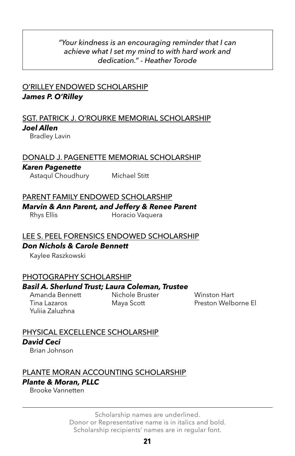#### *"Your kindness is an encouraging reminder that I can achieve what I set my mind to with hard work and dedication." - Heather Torode*

### O'RILLEY ENDOWED SCHOLARSHIP *James P. O'Rilley*

#### SGT. PATRICK J. O'ROURKE MEMORIAL SCHOLARSHIP *Joel Allen*

Bradley Lavin

#### DONALD J. PAGENETTE MEMORIAL SCHOLARSHIP

#### *Karen Pagenette*

Astaqul Choudhury Michael Stitt

#### PARENT FAMILY ENDOWED SCHOLARSHIP

#### *Marvin & Ann Parent, and Jeffery & Renee Parent*

Rhys Ellis **Horacio Vaquera** 

#### LEE S. PEEL FORENSICS ENDOWED SCHOLARSHIP

#### *Don Nichols & Carole Bennett*

Kaylee Raszkowski

#### PHOTOGRAPHY SCHOLARSHIP

#### *Basil A. Sherlund Trust; Laura Coleman, Trustee*

Yuliia Zaluzhna

Amanda Bennett Nichole Bruster Winston Hart

Tina Lazaros Maya Scott Preston Welborne El

# PHYSICAL EXCELLENCE SCHOLARSHIP *David Ceci*

Brian Johnson

#### PLANTE MORAN ACCOUNTING SCHOLARSHIP *Plante & Moran, PLLC*

Brooke Vannetten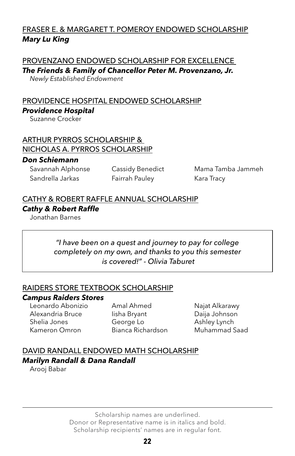# FRASER E. & MARGARET T. POMEROY ENDOWED SCHOLARSHIP *Mary Lu King*

#### PROVENZANO ENDOWED SCHOLARSHIP FOR EXCELLENCE

*The Friends & Family of Chancellor Peter M. Provenzano, Jr.*

*Newly Established Endowment*

# PROVIDENCE HOSPITAL ENDOWED SCHOLARSHIP *Providence Hospital*

Suzanne Crocker

#### ARTHUR PYRROS SCHOLARSHIP & NICHOLAS A. PYRROS SCHOLARSHIP

#### *Don Schiemann*

Sandrella Jarkas Fairrah Pauley Kara Tracy

Savannah Alphonse Cassidy Benedict Mama Tamba Jammeh

# CATHY & ROBERT RAFFLE ANNUAL SCHOLARSHIP *Cathy & Robert Raffle*

Jonathan Barnes

#### *"I have been on a quest and journey to pay for college completely on my own, and thanks to you this semester is covered!" - Olivia Taburet*

#### RAIDERS STORE TEXTBOOK SCHOLARSHIP

#### *Campus Raiders Stores*

Alexandria Bruce Iisha Bryant Daija Johnson Shelia Jones George Lo<br>
George Lo<br>
Ashley Lynch Kameron Omron Bianca Richardson Muhammad Saad

Leonardo Abonizio Amal Ahmed Najat Alkarawy

# DAVID RANDALL ENDOWED MATH SCHOLARSHIP *Marilyn Randall & Dana Randall*

Arooj Babar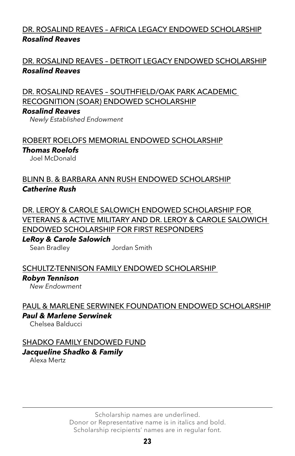# DR. ROSALIND REAVES – AFRICA LEGACY ENDOWED SCHOLARSHIP *Rosalind Reaves*

# DR. ROSALIND REAVES – DETROIT LEGACY ENDOWED SCHOLARSHIP *Rosalind Reaves*

DR. ROSALIND REAVES – SOUTHFIELD/OAK PARK ACADEMIC RECOGNITION (SOAR) ENDOWED SCHOLARSHIP

#### *Rosalind Reaves*

*Newly Established Endowment*

#### ROBERT ROELOFS MEMORIAL ENDOWED SCHOLARSHIP *Thomas Roelofs*

Joel McDonald

# BLINN B. & BARBARA ANN RUSH ENDOWED SCHOLARSHIP *Catherine Rush*

DR. LEROY & CAROLE SALOWICH ENDOWED SCHOLARSHIP FOR VETERANS & ACTIVE MILITARY AND DR. LEROY & CAROLE SALOWICH ENDOWED SCHOLARSHIP FOR FIRST RESPONDERS

*LeRoy & Carole Salowich* Sean Bradley Jordan Smith

#### SCHULTZ-TENNISON FAMILY ENDOWED SCHOLARSHIP

#### *Robyn Tennison*

*New Endowment*

# PAUL & MARLENE SERWINEK FOUNDATION ENDOWED SCHOLARSHIP

### *Paul & Marlene Serwinek*

Chelsea Balducci

# SHADKO FAMILY ENDOWED FUND

# *Jacqueline Shadko & Family*

Alexa Mertz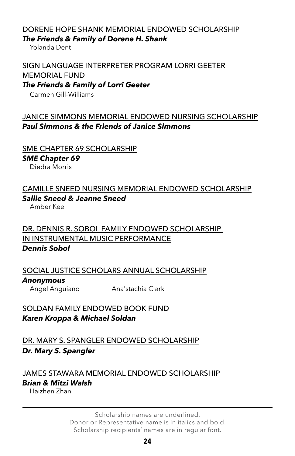## DORENE HOPE SHANK MEMORIAL ENDOWED SCHOLARSHIP *The Friends & Family of Dorene H. Shank*

Yolanda Dent

# SIGN LANGUAGE INTERPRETER PROGRAM LORRI GEETER MEMORIAL FUND

*The Friends & Family of Lorri Geeter*

Carmen Gill-Williams

## JANICE SIMMONS MEMORIAL ENDOWED NURSING SCHOLARSHIP *Paul Simmons & the Friends of Janice Simmons*

#### SME CHAPTER 69 SCHOLARSHIP

*SME Chapter 69*

Diedra Morris

# CAMILLE SNEED NURSING MEMORIAL ENDOWED SCHOLARSHIP

#### *Sallie Sneed & Jeanne Sneed*

Amber Kee

# DR. DENNIS R. SOBOL FAMILY ENDOWED SCHOLARSHIP IN INSTRUMENTAL MUSIC PERFORMANCE *Dennis Sobol*

# SOCIAL JUSTICE SCHOLARS ANNUAL SCHOLARSHIP *Anonymous*

Angel Anguiano Ana'stachia Clark

#### SOLDAN FAMILY ENDOWED BOOK FUND *Karen Kroppa & Michael Soldan*

DR. MARY S. SPANGLER ENDOWED SCHOLARSHIP *Dr. Mary S. Spangler*

# JAMES STAWARA MEMORIAL ENDOWED SCHOLARSHIP *Brian & Mitzi Walsh*

Haizhen Zhan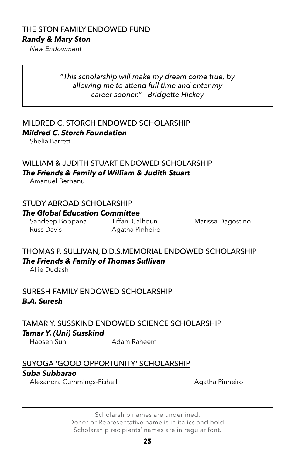#### THE STON FAMILY ENDOWED FUND

#### *Randy & Mary Ston*

*New Endowment*

#### *"This scholarship will make my dream come true, by allowing me to attend full time and enter my career sooner." - Bridgette Hickey*

# MILDRED C. STORCH ENDOWED SCHOLARSHIP

#### *Mildred C. Storch Foundation*

Shelia Barrett

#### WILLIAM & JUDITH STUART ENDOWED SCHOLARSHIP *The Friends & Family of William & Judith Stuart*

Amanuel Berhanu

#### STUDY ABROAD SCHOLARSHIP

#### *The Global Education Committee*

Russ Davis **Agatha Pinheiro** 

Sandeep Boppana Tiffani Calhoun Marissa Dagostino

# THOMAS P. SULLIVAN, D.D.S.MEMORIAL ENDOWED SCHOLARSHIP *The Friends & Family of Thomas Sullivan*

Allie Dudash

#### SURESH FAMILY ENDOWED SCHOLARSHIP *B.A. Suresh*

# TAMAR Y. SUSSKIND ENDOWED SCIENCE SCHOLARSHIP

#### *Tamar Y. (Uni) Susskind*

Haosen Sun Adam Raheem

#### SUYOGA 'GOOD OPPORTUNITY' SCHOLARSHIP

#### *Suba Subbarao*

Alexandra Cummings-Fishell **Agatha Pinheiro** Agatha Pinheiro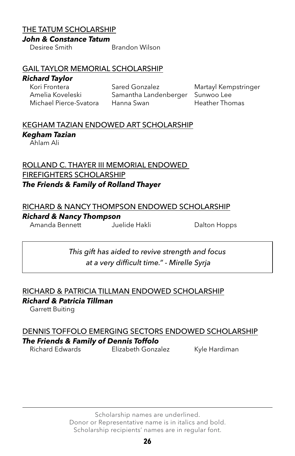#### THE TATUM SCHOLARSHIP

#### *John & Constance Tatum*

Desiree Smith Brandon Wilson

#### GAIL TAYLOR MEMORIAL SCHOLARSHIP

# *Richard Taylor*

Sared Gonzalez Martayl Kempstringer Amelia Koveleski Samantha Landenberger Sunwoo Lee Michael Pierce-Svatora Hanna Swan Heather Thomas

# KEGHAM TAZIAN ENDOWED ART SCHOLARSHIP

### *Kegham Tazian*

Ahlam Ali

#### ROLLAND C. THAYER III MEMORIAL ENDOWED FIREFIGHTERS SCHOLARSHIP *The Friends & Family of Rolland Thayer*

#### RICHARD & NANCY THOMPSON ENDOWED SCHOLARSHIP

#### *Richard & Nancy Thompson*

Amanda Bennett Juelide Hakli Dalton Hopps

*This gift has aided to revive strength and focus at a very difficult time." - Mirelle Syrja*

# RICHARD & PATRICIA TILLMAN ENDOWED SCHOLARSHIP *Richard & Patricia Tillman*

Garrett Buiting

# DENNIS TOFFOLO EMERGING SECTORS ENDOWED SCHOLARSHIP

*The Friends & Family of Dennis Toffolo*

Elizabeth Gonzalez Kyle Hardiman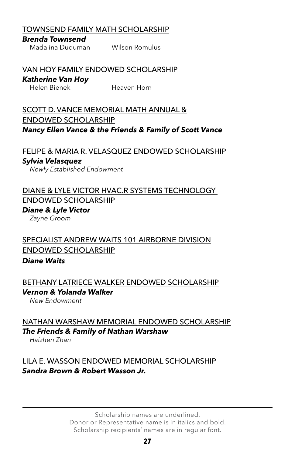#### TOWNSEND FAMILY MATH SCHOLARSHIP

#### *Brenda Townsend*

Madalina Duduman Wilson Romulus

#### VAN HOY FAMILY ENDOWED SCHOLARSHIP

# *Katherine Van Hoy*

Heaven Horn

SCOTT D. VANCE MEMORIAL MATH ANNUAL & ENDOWED SCHOLARSHIP *Nancy Ellen Vance & the Friends & Family of Scott Vance*

FELIPE & MARIA R. VELASQUEZ ENDOWED SCHOLARSHIP

#### *Sylvia Velasquez*

*Newly Established Endowment*

#### DIANE & LYLE VICTOR HVAC.R SYSTEMS TECHNOLOGY ENDOWED SCHOLARSHIP

*Diane & Lyle Victor Zayne Groom*

# SPECIALIST ANDREW WAITS 101 AIRBORNE DIVISION ENDOWED SCHOLARSHIP

#### *Diane Waits*

#### BETHANY LATRIECE WALKER ENDOWED SCHOLARSHIP *Vernon & Yolanda Walker*

*New Endowment*

NATHAN WARSHAW MEMORIAL ENDOWED SCHOLARSHIP *The Friends & Family of Nathan Warshaw*

*Haizhen Zhan*

#### LILA E. WASSON ENDOWED MEMORIAL SCHOLARSHIP *Sandra Brown & Robert Wasson Jr.*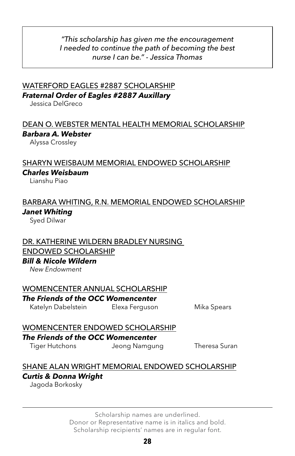#### *"This scholarship has given me the encouragement I needed to continue the path of becoming the best nurse I can be." - Jessica Thomas*

# WATERFORD EAGLES #2887 SCHOLARSHIP *Fraternal Order of Eagles #2887 Auxillary*

Jessica DelGreco

#### DEAN O. WEBSTER MENTAL HEALTH MEMORIAL SCHOLARSHIP *Barbara A. Webster*

Alyssa Crossley

#### SHARYN WEISBAUM MEMORIAL ENDOWED SCHOLARSHIP

#### *Charles Weisbaum*

Lianshu Piao

# BARBARA WHITING, R.N. MEMORIAL ENDOWED SCHOLARSHIP *Janet Whiting*

Syed Dilwar

#### DR. KATHERINE WILDERN BRADLEY NURSING ENDOWED SCHOLARSHIP

#### *Bill & Nicole Wildern*

*New Endowment*

#### WOMENCENTER ANNUAL SCHOLARSHIP

#### *The Friends of the OCC Womencenter*

Katelyn Dabelstein Elexa Ferguson Mika Spears

# WOMENCENTER ENDOWED SCHOLARSHIP

#### *The Friends of the OCC Womencenter*

Tiger Hutchons Jeong Namgung Theresa Suran

# SHANE ALAN WRIGHT MEMORIAL ENDOWED SCHOLARSHIP *Curtis & Donna Wright*

Jagoda Borkosky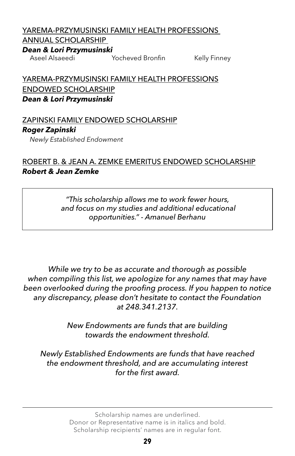# YAREMA-PRZYMUSINSKI FAMILY HEALTH PROFESSIONS

# ANNUAL SCHOLARSHIP

# *Dean & Lori Przymusinski*

Yocheved Bronfin Kelly Finney

YAREMA-PRZYMUSINSKI FAMILY HEALTH PROFESSIONS ENDOWED SCHOLARSHIP *Dean & Lori Przymusinski*

# ZAPINSKI FAMILY ENDOWED SCHOLARSHIP *Roger Zapinski*

*Newly Established Endowment*

# ROBERT B. & JEAN A. ZEMKE EMERITUS ENDOWED SCHOLARSHIP *Robert & Jean Zemke*

*"This scholarship allows me to work fewer hours, and focus on my studies and additional educational opportunities." - Amanuel Berhanu*

*While we try to be as accurate and thorough as possible when compiling this list, we apologize for any names that may have been overlooked during the proofing process. If you happen to notice any discrepancy, please don't hesitate to contact the Foundation at 248.341.2137.*

> *New Endowments are funds that are building towards the endowment threshold.*

*Newly Established Endowments are funds that have reached the endowment threshold, and are accumulating interest for the first award.*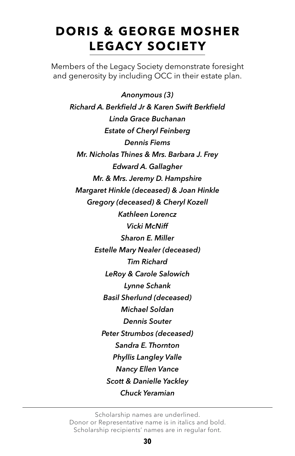# **DORIS & GEORGE MOSHER LEGACY SOCIETY**

Members of the Legacy Society demonstrate foresight and generosity by including OCC in their estate plan.

*Anonymous (3) Richard A. Berkfield Jr & Karen Swift Berkfield Linda Grace Buchanan Estate of Cheryl Feinberg Dennis Fiems Mr. Nicholas Thines & Mrs. Barbara J. Frey Edward A. Gallagher Mr. & Mrs. Jeremy D. Hampshire Margaret Hinkle (deceased) & Joan Hinkle Gregory (deceased) & Cheryl Kozell Kathleen Lorencz Vicki McNiff Sharon E. Miller Estelle Mary Nealer (deceased) Tim Richard LeRoy & Carole Salowich Lynne Schank Basil Sherlund (deceased) Michael Soldan Dennis Souter Peter Strumbos (deceased) Sandra E. Thornton Phyllis Langley Valle Nancy Ellen Vance Scott & Danielle Yackley Chuck Yeramian*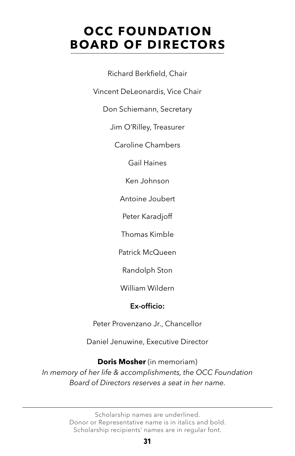# **OCC FOUNDATION BOARD OF DIRECTORS**

Richard Berkfield, Chair

Vincent DeLeonardis, Vice Chair

Don Schiemann, Secretary

Jim O'Rilley, Treasurer

Caroline Chambers

Gail Haines

Ken Johnson

Antoine Joubert

Peter Karadjoff

Thomas Kimble

Patrick McQueen

Randolph Ston

William Wildern

#### Ex-officio:

Peter Provenzano Jr., Chancellor

Daniel Jenuwine, Executive Director

**Doris Mosher** (in memoriam) *In memory of her life & accomplishments, the OCC Foundation Board of Directors reserves a seat in her name.*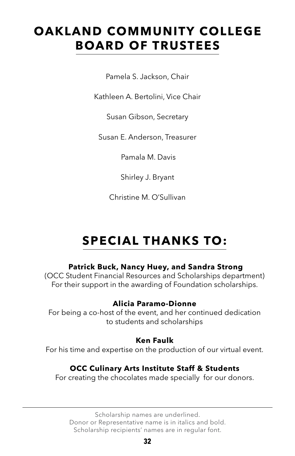# **OAKLAND COMMUNITY COLLEGE BOARD OF TRUSTEES**

Pamela S. Jackson, Chair

Kathleen A. Bertolini, Vice Chair

Susan Gibson, Secretary

Susan E. Anderson, Treasurer

Pamala M. Davis

Shirley J. Bryant

Christine M. O'Sullivan

# **SPECIAL THANKS TO:**

#### **Patrick Buck, Nancy Huey, and Sandra Strong**

(OCC Student Financial Resources and Scholarships department) For their support in the awarding of Foundation scholarships.

#### **Alicia Paramo-Dionne**

For being a co-host of the event, and her continued dedication to students and scholarships

#### **Ken Faulk**

For his time and expertise on the production of our virtual event.

# **OCC Culinary Arts Institute Staff & Students**

For creating the chocolates made specially for our donors.